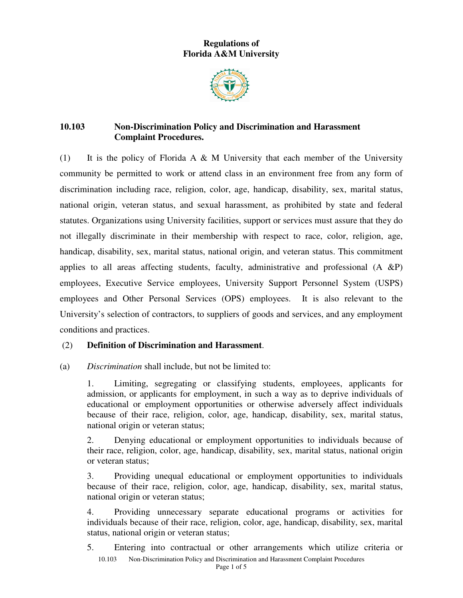# **Regulations of Florida A&M University**



# **10.103 Non-Discrimination Policy and Discrimination and Harassment Complaint Procedures.**

(1) It is the policy of Florida A & M University that each member of the University community be permitted to work or attend class in an environment free from any form of discrimination including race, religion, color, age, handicap, disability, sex, marital status, national origin, veteran status, and sexual harassment, as prohibited by state and federal statutes. Organizations using University facilities, support or services must assure that they do not illegally discriminate in their membership with respect to race, color, religion, age, handicap, disability, sex, marital status, national origin, and veteran status. This commitment applies to all areas affecting students, faculty, administrative and professional  $(A \& P)$ employees, Executive Service employees, University Support Personnel System (USPS) employees and Other Personal Services (OPS) employees. It is also relevant to the University's selection of contractors, to suppliers of goods and services, and any employment conditions and practices.

## (2) **Definition of Discrimination and Harassment**.

### (a) *Discrimination* shall include, but not be limited to:

1. Limiting, segregating or classifying students, employees, applicants for admission, or applicants for employment, in such a way as to deprive individuals of educational or employment opportunities or otherwise adversely affect individuals because of their race, religion, color, age, handicap, disability, sex, marital status, national origin or veteran status;

2. Denying educational or employment opportunities to individuals because of their race, religion, color, age, handicap, disability, sex, marital status, national origin or veteran status;

3. Providing unequal educational or employment opportunities to individuals because of their race, religion, color, age, handicap, disability, sex, marital status, national origin or veteran status;

4. Providing unnecessary separate educational programs or activities for individuals because of their race, religion, color, age, handicap, disability, sex, marital status, national origin or veteran status;

10.103 Non-Discrimination Policy and Discrimination and Harassment Complaint Procedures 5. Entering into contractual or other arrangements which utilize criteria or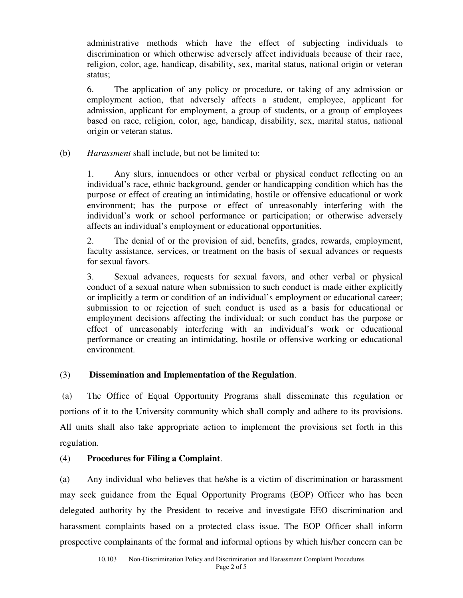administrative methods which have the effect of subjecting individuals to discrimination or which otherwise adversely affect individuals because of their race, religion, color, age, handicap, disability, sex, marital status, national origin or veteran status;

6. The application of any policy or procedure, or taking of any admission or employment action, that adversely affects a student, employee, applicant for admission, applicant for employment, a group of students, or a group of employees based on race, religion, color, age, handicap, disability, sex, marital status, national origin or veteran status.

## (b) *Harassment* shall include, but not be limited to:

1. Any slurs, innuendoes or other verbal or physical conduct reflecting on an individual's race, ethnic background, gender or handicapping condition which has the purpose or effect of creating an intimidating, hostile or offensive educational or work environment; has the purpose or effect of unreasonably interfering with the individual's work or school performance or participation; or otherwise adversely affects an individual's employment or educational opportunities.

2. The denial of or the provision of aid, benefits, grades, rewards, employment, faculty assistance, services, or treatment on the basis of sexual advances or requests for sexual favors.

3. Sexual advances, requests for sexual favors, and other verbal or physical conduct of a sexual nature when submission to such conduct is made either explicitly or implicitly a term or condition of an individual's employment or educational career; submission to or rejection of such conduct is used as a basis for educational or employment decisions affecting the individual; or such conduct has the purpose or effect of unreasonably interfering with an individual's work or educational performance or creating an intimidating, hostile or offensive working or educational environment.

### (3) **Dissemination and Implementation of the Regulation**.

 (a) The Office of Equal Opportunity Programs shall disseminate this regulation or portions of it to the University community which shall comply and adhere to its provisions. All units shall also take appropriate action to implement the provisions set forth in this regulation.

### (4) **Procedures for Filing a Complaint**.

(a) Any individual who believes that he/she is a victim of discrimination or harassment may seek guidance from the Equal Opportunity Programs (EOP) Officer who has been delegated authority by the President to receive and investigate EEO discrimination and harassment complaints based on a protected class issue. The EOP Officer shall inform prospective complainants of the formal and informal options by which his/her concern can be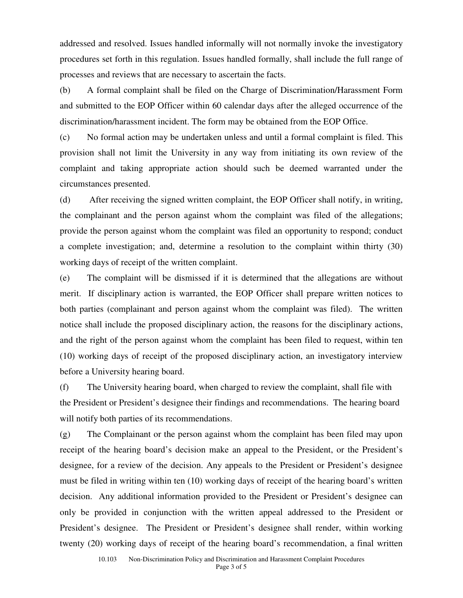addressed and resolved. Issues handled informally will not normally invoke the investigatory procedures set forth in this regulation. Issues handled formally, shall include the full range of processes and reviews that are necessary to ascertain the facts.

(b) A formal complaint shall be filed on the Charge of Discrimination/Harassment Form and submitted to the EOP Officer within 60 calendar days after the alleged occurrence of the discrimination/harassment incident. The form may be obtained from the EOP Office.

(c) No formal action may be undertaken unless and until a formal complaint is filed. This provision shall not limit the University in any way from initiating its own review of the complaint and taking appropriate action should such be deemed warranted under the circumstances presented.

(d) After receiving the signed written complaint, the EOP Officer shall notify, in writing, the complainant and the person against whom the complaint was filed of the allegations; provide the person against whom the complaint was filed an opportunity to respond; conduct a complete investigation; and, determine a resolution to the complaint within thirty (30) working days of receipt of the written complaint.

(e) The complaint will be dismissed if it is determined that the allegations are without merit. If disciplinary action is warranted, the EOP Officer shall prepare written notices to both parties (complainant and person against whom the complaint was filed). The written notice shall include the proposed disciplinary action, the reasons for the disciplinary actions, and the right of the person against whom the complaint has been filed to request, within ten (10) working days of receipt of the proposed disciplinary action, an investigatory interview before a University hearing board.

(f) The University hearing board, when charged to review the complaint, shall file with the President or President's designee their findings and recommendations. The hearing board will notify both parties of its recommendations.

(g) The Complainant or the person against whom the complaint has been filed may upon receipt of the hearing board's decision make an appeal to the President, or the President's designee, for a review of the decision. Any appeals to the President or President's designee must be filed in writing within ten (10) working days of receipt of the hearing board's written decision. Any additional information provided to the President or President's designee can only be provided in conjunction with the written appeal addressed to the President or President's designee. The President or President's designee shall render, within working twenty (20) working days of receipt of the hearing board's recommendation, a final written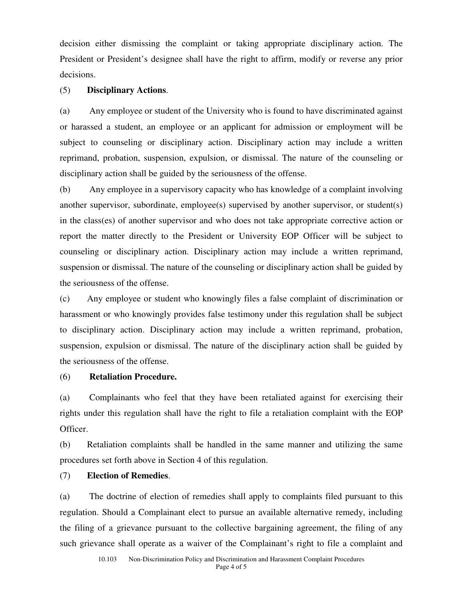decision either dismissing the complaint or taking appropriate disciplinary action. The President or President's designee shall have the right to affirm, modify or reverse any prior decisions.

#### (5) **Disciplinary Actions**.

(a) Any employee or student of the University who is found to have discriminated against or harassed a student, an employee or an applicant for admission or employment will be subject to counseling or disciplinary action. Disciplinary action may include a written reprimand, probation, suspension, expulsion, or dismissal. The nature of the counseling or disciplinary action shall be guided by the seriousness of the offense.

(b) Any employee in a supervisory capacity who has knowledge of a complaint involving another supervisor, subordinate, employee(s) supervised by another supervisor, or student(s) in the class(es) of another supervisor and who does not take appropriate corrective action or report the matter directly to the President or University EOP Officer will be subject to counseling or disciplinary action. Disciplinary action may include a written reprimand, suspension or dismissal. The nature of the counseling or disciplinary action shall be guided by the seriousness of the offense.

(c) Any employee or student who knowingly files a false complaint of discrimination or harassment or who knowingly provides false testimony under this regulation shall be subject to disciplinary action. Disciplinary action may include a written reprimand, probation, suspension, expulsion or dismissal. The nature of the disciplinary action shall be guided by the seriousness of the offense.

#### (6) **Retaliation Procedure.**

(a) Complainants who feel that they have been retaliated against for exercising their rights under this regulation shall have the right to file a retaliation complaint with the EOP Officer.

(b) Retaliation complaints shall be handled in the same manner and utilizing the same procedures set forth above in Section 4 of this regulation.

#### (7) **Election of Remedies**.

(a) The doctrine of election of remedies shall apply to complaints filed pursuant to this regulation. Should a Complainant elect to pursue an available alternative remedy, including the filing of a grievance pursuant to the collective bargaining agreement, the filing of any such grievance shall operate as a waiver of the Complainant's right to file a complaint and